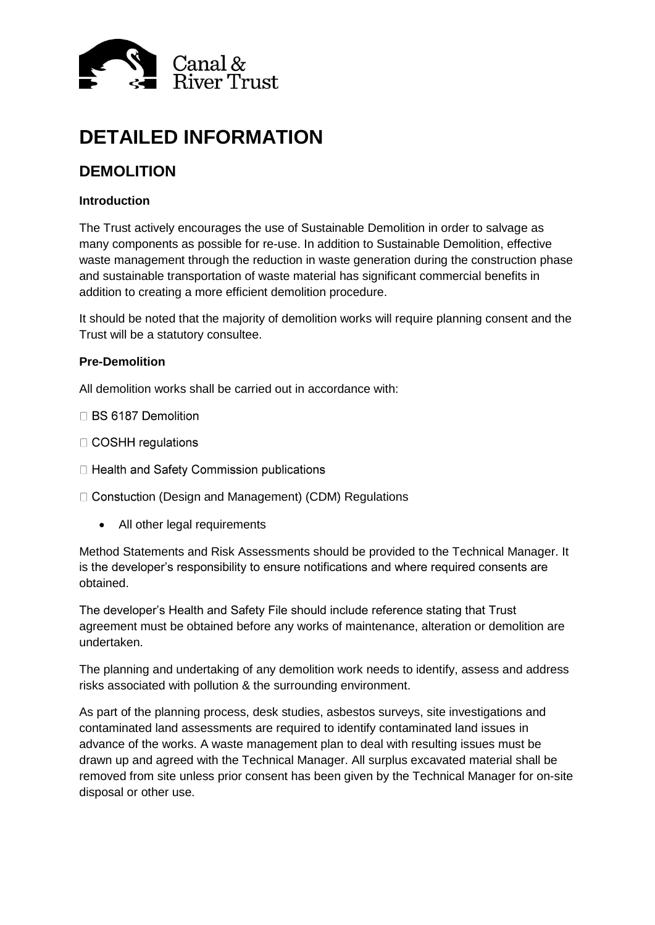

# **DETAILED INFORMATION**

## **DEMOLITION**

### **Introduction**

The Trust actively encourages the use of Sustainable Demolition in order to salvage as many components as possible for re-use. In addition to Sustainable Demolition, effective waste management through the reduction in waste generation during the construction phase and sustainable transportation of waste material has significant commercial benefits in addition to creating a more efficient demolition procedure.

It should be noted that the majority of demolition works will require planning consent and the Trust will be a statutory consultee.

#### **Pre-Demolition**

All demolition works shall be carried out in accordance with:

- □ BS 6187 Demolition
- □ COSHH regulations
- □ Health and Safety Commission publications
- □ Constuction (Design and Management) (CDM) Regulations
	- All other legal requirements

Method Statements and Risk Assessments should be provided to the Technical Manager. It is the developer's responsibility to ensure notifications and where required consents are obtained.

The developer's Health and Safety File should include reference stating that Trust agreement must be obtained before any works of maintenance, alteration or demolition are undertaken.

The planning and undertaking of any demolition work needs to identify, assess and address risks associated with pollution & the surrounding environment.

As part of the planning process, desk studies, asbestos surveys, site investigations and contaminated land assessments are required to identify contaminated land issues in advance of the works. A waste management plan to deal with resulting issues must be drawn up and agreed with the Technical Manager. All surplus excavated material shall be removed from site unless prior consent has been given by the Technical Manager for on-site disposal or other use.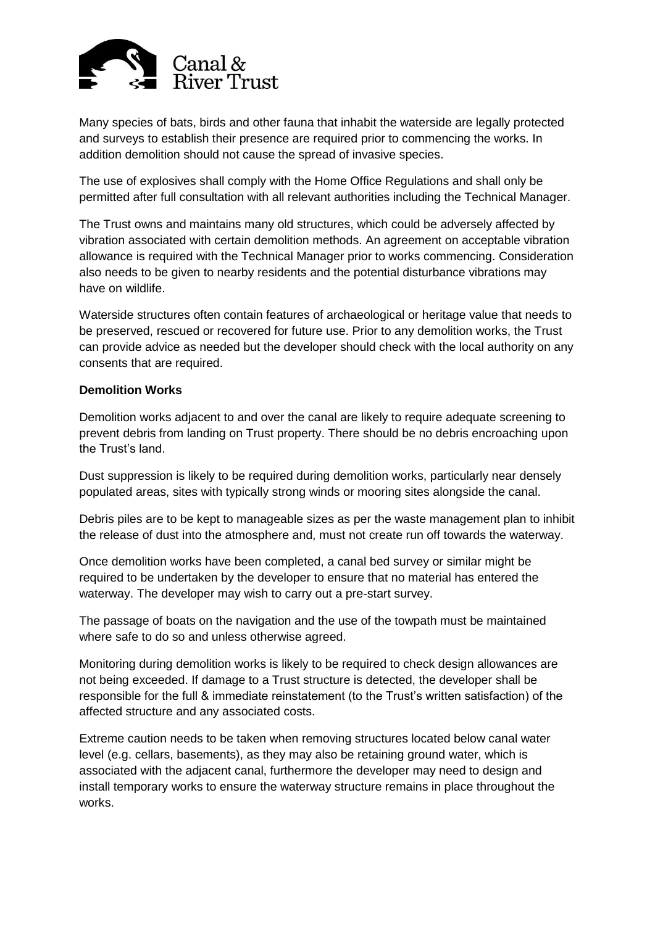

Many species of bats, birds and other fauna that inhabit the waterside are legally protected and surveys to establish their presence are required prior to commencing the works. In addition demolition should not cause the spread of invasive species.

The use of explosives shall comply with the Home Office Regulations and shall only be permitted after full consultation with all relevant authorities including the Technical Manager.

The Trust owns and maintains many old structures, which could be adversely affected by vibration associated with certain demolition methods. An agreement on acceptable vibration allowance is required with the Technical Manager prior to works commencing. Consideration also needs to be given to nearby residents and the potential disturbance vibrations may have on wildlife.

Waterside structures often contain features of archaeological or heritage value that needs to be preserved, rescued or recovered for future use. Prior to any demolition works, the Trust can provide advice as needed but the developer should check with the local authority on any consents that are required.

### **Demolition Works**

Demolition works adjacent to and over the canal are likely to require adequate screening to prevent debris from landing on Trust property. There should be no debris encroaching upon the Trust's land.

Dust suppression is likely to be required during demolition works, particularly near densely populated areas, sites with typically strong winds or mooring sites alongside the canal.

Debris piles are to be kept to manageable sizes as per the waste management plan to inhibit the release of dust into the atmosphere and, must not create run off towards the waterway.

Once demolition works have been completed, a canal bed survey or similar might be required to be undertaken by the developer to ensure that no material has entered the waterway. The developer may wish to carry out a pre-start survey.

The passage of boats on the navigation and the use of the towpath must be maintained where safe to do so and unless otherwise agreed.

Monitoring during demolition works is likely to be required to check design allowances are not being exceeded. If damage to a Trust structure is detected, the developer shall be responsible for the full & immediate reinstatement (to the Trust's written satisfaction) of the affected structure and any associated costs.

Extreme caution needs to be taken when removing structures located below canal water level (e.g. cellars, basements), as they may also be retaining ground water, which is associated with the adjacent canal, furthermore the developer may need to design and install temporary works to ensure the waterway structure remains in place throughout the works.